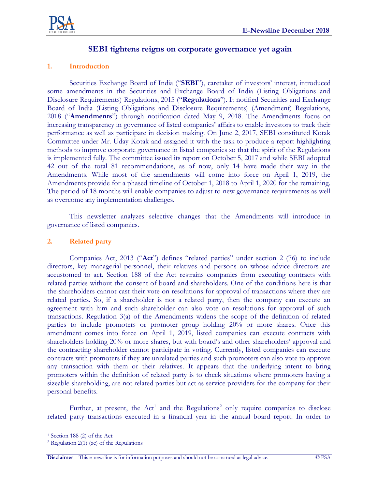

# **SEBI tightens reigns on corporate governance yet again**

# **1. Introduction**

Securities Exchange Board of India ("**SEBI**"), caretaker of investors' interest, introduced some amendments in the Securities and Exchange Board of India (Listing Obligations and Disclosure Requirements) Regulations, 2015 ("**Regulations**"). It notified Securities and Exchange Board of India (Listing Obligations and Disclosure Requirements) (Amendment) Regulations, 2018 ("**Amendments**") through notification dated May 9, 2018. The Amendments focus on increasing transparency in governance of listed companies' affairs to enable investors to track their performance as well as participate in decision making. On June 2, 2017, SEBI constituted Kotak Committee under Mr. Uday Kotak and assigned it with the task to produce a report highlighting methods to improve corporate governance in listed companies so that the spirit of the Regulations is implemented fully. The committee issued its report on October 5, 2017 and while SEBI adopted 42 out of the total 81 recommendations, as of now, only 14 have made their way in the Amendments. While most of the amendments will come into force on April 1, 2019, the Amendments provide for a phased timeline of October 1, 2018 to April 1, 2020 for the remaining. The period of 18 months will enable companies to adjust to new governance requirements as well as overcome any implementation challenges.

This newsletter analyzes selective changes that the Amendments will introduce in governance of listed companies.

### **2. Related party**

Companies Act, 2013 ("**Act**") defines "related parties" under section 2 (76) to include directors, key managerial personnel, their relatives and persons on whose advice directors are accustomed to act. Section 188 of the Act restrains companies from executing contracts with related parties without the consent of board and shareholders. One of the conditions here is that the shareholders cannot cast their vote on resolutions for approval of transactions where they are related parties. So, if a shareholder is not a related party, then the company can execute an agreement with him and such shareholder can also vote on resolutions for approval of such transactions. Regulation 3(a) of the Amendments widens the scope of the definition of related parties to include promoters or promoter group holding 20% or more shares. Once this amendment comes into force on April 1, 2019, listed companies can execute contracts with shareholders holding 20% or more shares, but with board's and other shareholders' approval and the contracting shareholder cannot participate in voting. Currently, listed companies can execute contracts with promoters if they are unrelated parties and such promoters can also vote to approve any transaction with them or their relatives. It appears that the underlying intent to bring promoters within the definition of related party is to check situations where promoters having a sizeable shareholding, are not related parties but act as service providers for the company for their personal benefits.

Further, at present, the  $Act<sup>1</sup>$  and the Regulations<sup>2</sup> only require companies to disclose related party transactions executed in a financial year in the annual board report. In order to

 $\overline{a}$ 

<sup>1</sup> Section 188 (2) of the Act

<sup>2</sup> Regulation 2(1) (zc) of the Regulations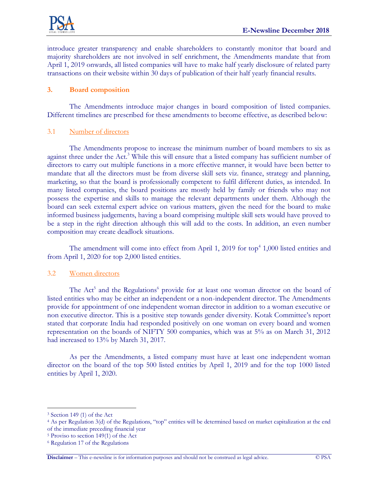

introduce greater transparency and enable shareholders to constantly monitor that board and majority shareholders are not involved in self enrichment, the Amendments mandate that from April 1, 2019 onwards, all listed companies will have to make half yearly disclosure of related party transactions on their website within 30 days of publication of their half yearly financial results.

## **3. Board composition**

The Amendments introduce major changes in board composition of listed companies. Different timelines are prescribed for these amendments to become effective, as described below:

### 3.1 Number of directors

The Amendments propose to increase the minimum number of board members to six as against three under the Act.<sup>3</sup> While this will ensure that a listed company has sufficient number of directors to carry out multiple functions in a more effective manner, it would have been better to mandate that all the directors must be from diverse skill sets viz. finance, strategy and planning, marketing, so that the board is professionally competent to fulfil different duties, as intended. In many listed companies, the board positions are mostly held by family or friends who may not possess the expertise and skills to manage the relevant departments under them. Although the board can seek external expert advice on various matters, given the need for the board to make informed business judgements, having a board comprising multiple skill sets would have proved to be a step in the right direction although this will add to the costs. In addition, an even number composition may create deadlock situations.

The amendment will come into effect from April 1, 2019 for  $top<sup>4</sup>$  1,000 listed entities and from April 1, 2020 for top 2,000 listed entities.

# 3.2 Women directors

The Act<sup>5</sup> and the Regulations<sup>6</sup> provide for at least one woman director on the board of listed entities who may be either an independent or a non-independent director. The Amendments provide for appointment of one independent woman director in addition to a woman executive or non executive director. This is a positive step towards gender diversity. Kotak Committee's report stated that corporate India had responded positively on one woman on every board and women representation on the boards of NIFTY 500 companies, which was at 5% as on March 31, 2012 had increased to 13% by March 31, 2017.

As per the Amendments, a listed company must have at least one independent woman director on the board of the top 500 listed entities by April 1, 2019 and for the top 1000 listed entities by April 1, 2020.

 $\overline{a}$ 

<sup>3</sup> Section 149 (1) of the Act

<sup>4</sup> As per Regulation 3(d) of the Regulations, "top" entities will be determined based on market capitalization at the end of the immediate preceding financial year

<sup>5</sup> Proviso to section 149(1) of the Act

<sup>6</sup> Regulation 17 of the Regulations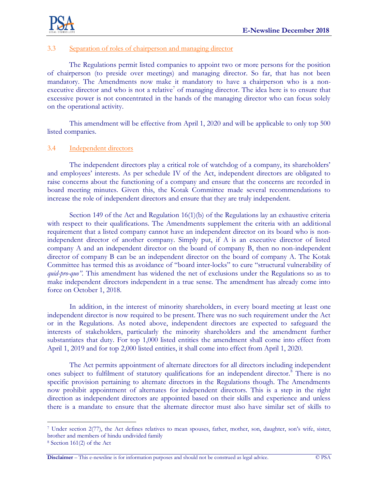

### 3.3 Separation of roles of chairperson and managing director

The Regulations permit listed companies to appoint two or more persons for the position of chairperson (to preside over meetings) and managing director. So far, that has not been mandatory. The Amendments now make it mandatory to have a chairperson who is a nonexecutive director and who is not a relative<sup>7</sup> of managing director. The idea here is to ensure that excessive power is not concentrated in the hands of the managing director who can focus solely on the operational activity.

This amendment will be effective from April 1, 2020 and will be applicable to only top 500 listed companies.

#### 3.4 Independent directors

The independent directors play a critical role of watchdog of a company, its shareholders' and employees' interests. As per schedule IV of the Act, independent directors are obligated to raise concerns about the functioning of a company and ensure that the concerns are recorded in board meeting minutes. Given this, the Kotak Committee made several recommendations to increase the role of independent directors and ensure that they are truly independent.

Section 149 of the Act and Regulation 16(1)(b) of the Regulations lay an exhaustive criteria with respect to their qualifications. The Amendments supplement the criteria with an additional requirement that a listed company cannot have an independent director on its board who is nonindependent director of another company. Simply put, if A is an executive director of listed company A and an independent director on the board of company B, then no non-independent director of company B can be an independent director on the board of company A. The Kotak Committee has termed this as avoidance of "board inter-locks" to cure "structural vulnerability of *quid-pro-quo".* This amendment has widened the net of exclusions under the Regulations so as to make independent directors independent in a true sense. The amendment has already come into force on October 1, 2018.

In addition, in the interest of minority shareholders, in every board meeting at least one independent director is now required to be present. There was no such requirement under the Act or in the Regulations. As noted above, independent directors are expected to safeguard the interests of stakeholders, particularly the minority shareholders and the amendment further substantiates that duty. For top 1,000 listed entities the amendment shall come into effect from April 1, 2019 and for top 2,000 listed entities, it shall come into effect from April 1, 2020.

The Act permits appointment of alternate directors for all directors including independent ones subject to fulfilment of statutory qualifications for an independent director.<sup>8</sup> There is no specific provision pertaining to alternate directors in the Regulations though. The Amendments now prohibit appointment of alternates for independent directors. This is a step in the right direction as independent directors are appointed based on their skills and experience and unless there is a mandate to ensure that the alternate director must also have similar set of skills to

 $\overline{a}$ 

<sup>7</sup> Under section 2(77), the Act defines relatives to mean spouses, father, mother, son, daughter, son's wife, sister, brother and members of hindu undivided family

<sup>8</sup> Section 161(2) of the Act

**Disclaimer** – This e-newsline is for information purposes and should not be construed as legal advice. © PSA